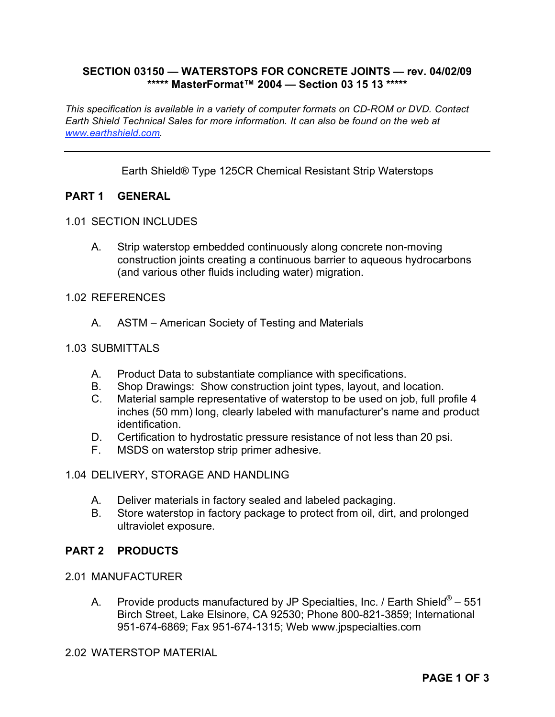# **SECTION 03150 — WATERSTOPS FOR CONCRETE JOINTS — rev. 04/02/09 \*\*\*\*\* MasterFormat™ 2004 — Section 03 15 13 \*\*\*\*\***

*This specification is available in a variety of computer formats on CD-ROM or DVD. Contact Earth Shield Technical Sales for more information. It can also be found on the web at www.earthshield.com.* 

Earth Shield® Type 125CR Chemical Resistant Strip Waterstops

# **PART 1 GENERAL**

#### 1.01 SECTION INCLUDES

A. Strip waterstop embedded continuously along concrete non-moving construction joints creating a continuous barrier to aqueous hydrocarbons (and various other fluids including water) migration.

#### 1.02 REFERENCES

A. ASTM – American Society of Testing and Materials

### 1.03 SUBMITTALS

- A. Product Data to substantiate compliance with specifications.
- B. Shop Drawings: Show construction joint types, layout, and location.
- C. Material sample representative of waterstop to be used on job, full profile 4 inches (50 mm) long, clearly labeled with manufacturer's name and product identification.
- D. Certification to hydrostatic pressure resistance of not less than 20 psi.
- F. MSDS on waterstop strip primer adhesive.

## 1.04 DELIVERY, STORAGE AND HANDLING

- A. Deliver materials in factory sealed and labeled packaging.
- B. Store waterstop in factory package to protect from oil, dirt, and prolonged ultraviolet exposure.

## **PART 2 PRODUCTS**

#### 2.01 MANUFACTURER

A. Provide products manufactured by JP Specialties, Inc. / Earth Shield<sup>®</sup> – 551 Birch Street, Lake Elsinore, CA 92530; Phone 800-821-3859; International 951-674-6869; Fax 951-674-1315; Web www.jpspecialties.com

# 2.02 WATERSTOP MATERIAL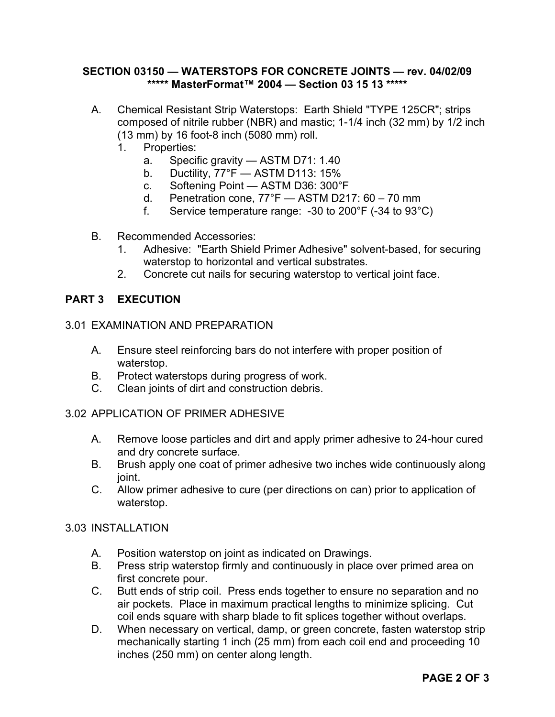# **SECTION 03150 — WATERSTOPS FOR CONCRETE JOINTS — rev. 04/02/09 \*\*\*\*\* MasterFormat™ 2004 — Section 03 15 13 \*\*\*\*\***

- A. Chemical Resistant Strip Waterstops: Earth Shield "TYPE 125CR"; strips composed of nitrile rubber (NBR) and mastic; 1-1/4 inch (32 mm) by 1/2 inch (13 mm) by 16 foot-8 inch (5080 mm) roll.
	- 1. Properties:
		- a. Specific gravity ASTM D71: 1.40
		- b. Ductility, 77°F ASTM D113: 15%
		- c. Softening Point ASTM D36: 300°F
		- d. Penetration cone, 77°F ASTM D217: 60 70 mm
		- f. Service temperature range: -30 to 200°F (-34 to 93°C)
- B. Recommended Accessories:
	- 1. Adhesive: "Earth Shield Primer Adhesive" solvent-based, for securing waterstop to horizontal and vertical substrates.
	- 2. Concrete cut nails for securing waterstop to vertical joint face.

# **PART 3 EXECUTION**

## 3.01 EXAMINATION AND PREPARATION

- A. Ensure steel reinforcing bars do not interfere with proper position of waterstop.
- B. Protect waterstops during progress of work.
- C. Clean joints of dirt and construction debris.

# 3.02 APPLICATION OF PRIMER ADHESIVE

- A. Remove loose particles and dirt and apply primer adhesive to 24-hour cured and dry concrete surface.
- B. Brush apply one coat of primer adhesive two inches wide continuously along joint.
- C. Allow primer adhesive to cure (per directions on can) prior to application of waterstop.

## 3.03 INSTALLATION

- A. Position waterstop on joint as indicated on Drawings.
- B. Press strip waterstop firmly and continuously in place over primed area on first concrete pour.
- C. Butt ends of strip coil. Press ends together to ensure no separation and no air pockets. Place in maximum practical lengths to minimize splicing. Cut coil ends square with sharp blade to fit splices together without overlaps.
- D. When necessary on vertical, damp, or green concrete, fasten waterstop strip mechanically starting 1 inch (25 mm) from each coil end and proceeding 10 inches (250 mm) on center along length.